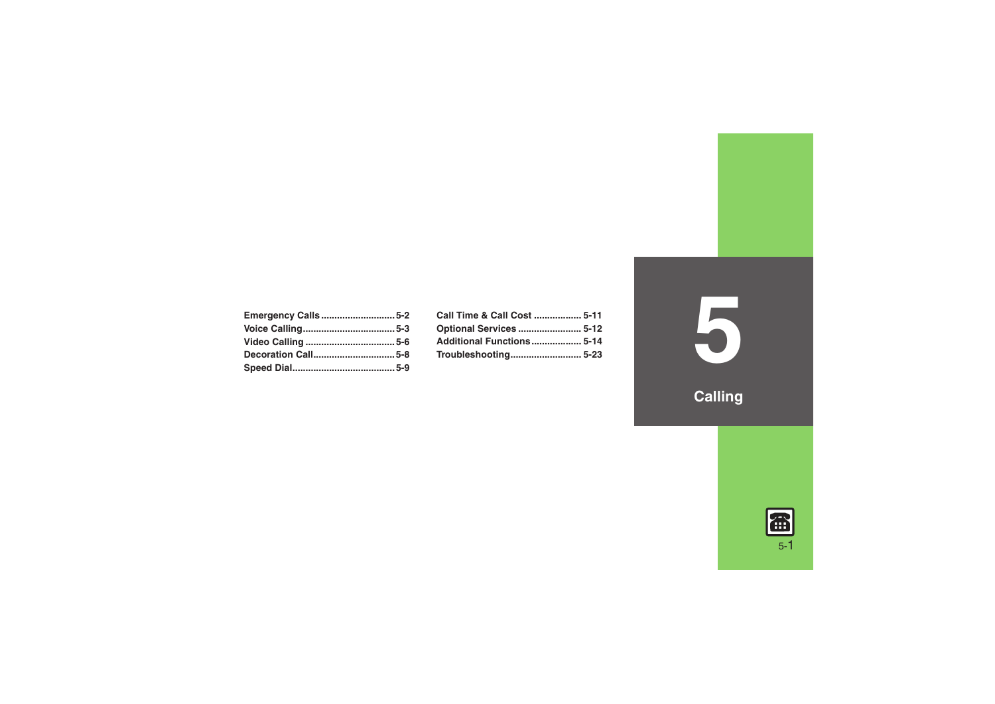| <b>Emergency Calls5-2</b> |  |
|---------------------------|--|
|                           |  |
|                           |  |
| Decoration Call5-8        |  |
|                           |  |

| Call Time & Call Cost  5-11 |  |
|-----------------------------|--|
| Optional Services  5-12     |  |
| Additional Functions 5-14   |  |
|                             |  |
|                             |  |

**5**

**Calling**

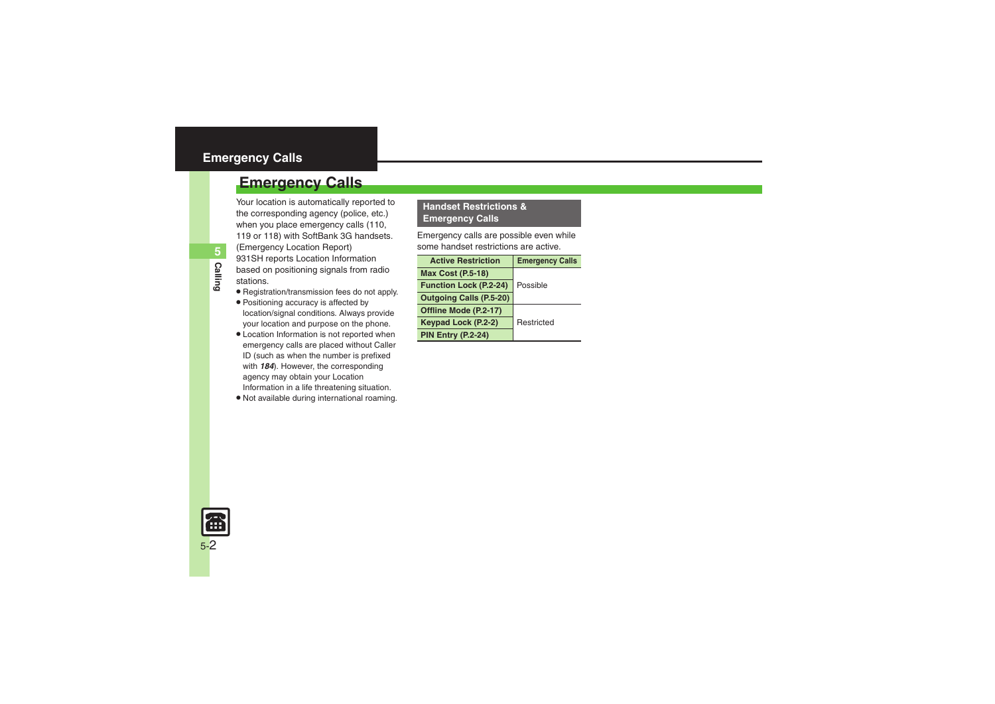## <span id="page-1-0"></span>**Emergency Calls**

Your location is automatically reported to the corresponding agency (police, etc.) when you place emergency calls (110, 119 or 118) with SoftBank 3G handsets. (Emergency Location Report) 931SH reports Location Information based on positioning signals from radio stations.

**Calling**

**5**

- . Registration/transmission fees do not apply.
- . Positioning accuracy is affected by location/signal conditions. Always provide your location and purpose on the phone.
- . Location Information is not reported when emergency calls are placed without Caller ID (such as when the number is prefixed with *184*). However, the corresponding agency may obtain your Location Information in a life threatening situation.
- . Not available during international roaming.

## **Handset Restrictions & Emergency Calls**

Emergency calls are possible even while some handset restrictions are active.

| <b>Active Restriction</b>      | <b>Emergency Calls</b> |
|--------------------------------|------------------------|
| <b>Max Cost (P.5-18)</b>       |                        |
| <b>Function Lock (P.2-24)</b>  | Possible               |
| <b>Outgoing Calls (P.5-20)</b> |                        |
| Offline Mode (P.2-17)          |                        |
| Keypad Lock (P.2-2)            | Restricted             |
| <b>PIN Entry (P.2-24)</b>      |                        |

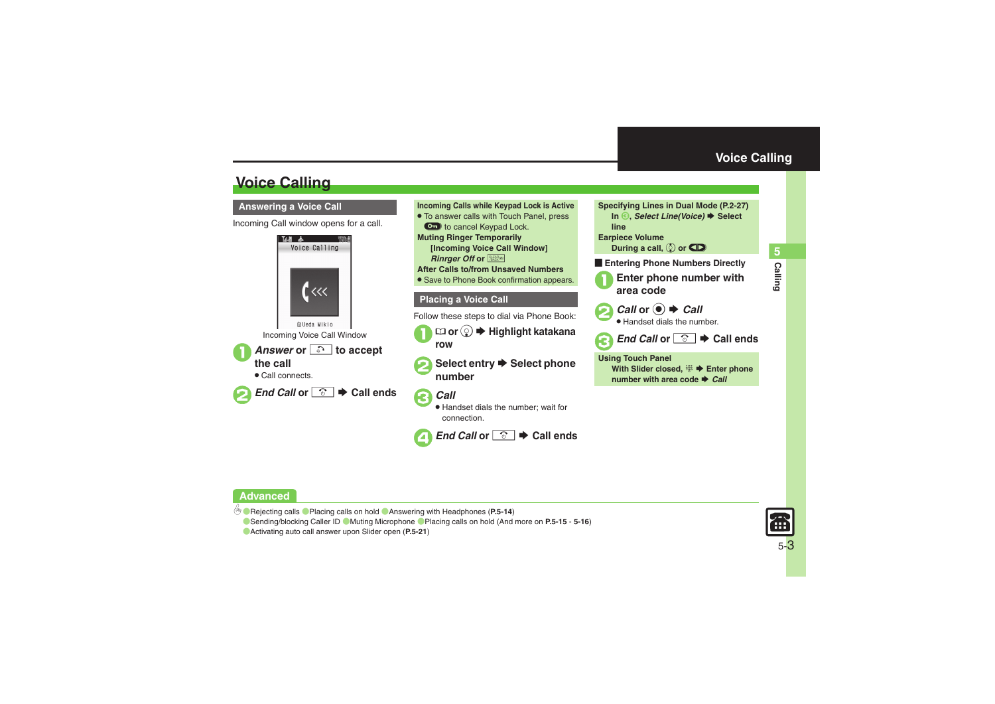## <span id="page-2-0"></span>**Voice Calling**

Incoming Call window opens for a call.





<span id="page-2-1"></span>connection.



▲ End Call or *<u><sup>⊙</sup></u>* $\rightarrow$  **Call ends** 



During a call,  $\circledS$  or **CID** 

**Entering Phone Numbers Directly** 

1**Enter phone number with area code**

**2** *Call* or ● **→** *Call* 

. Handset dials the number.

**€** End Call or <sup>**8**</sup>  $\bullet$  Call ends

**Using Touch Panel With Slider closed,**  %S **Enter phone number with area code → Call** 

## **Advanced**

b **• [Rejecting calls](#page-13-1) • [Placing calls on hold](#page-13-2) • [Answering with Headphones](#page-13-3) ([P.5-14](#page-13-1))** 

**C** [Sending/blocking Caller ID](#page-14-0) C [Muting Microphone](#page-14-1) C [Placing calls on hold](#page-15-0) (And more on [P.5-15](#page-14-1) - [5-16](#page-15-0))

([Activating auto call answer upon Slider open](#page-20-0) (**[P.5-21](#page-20-0)**)

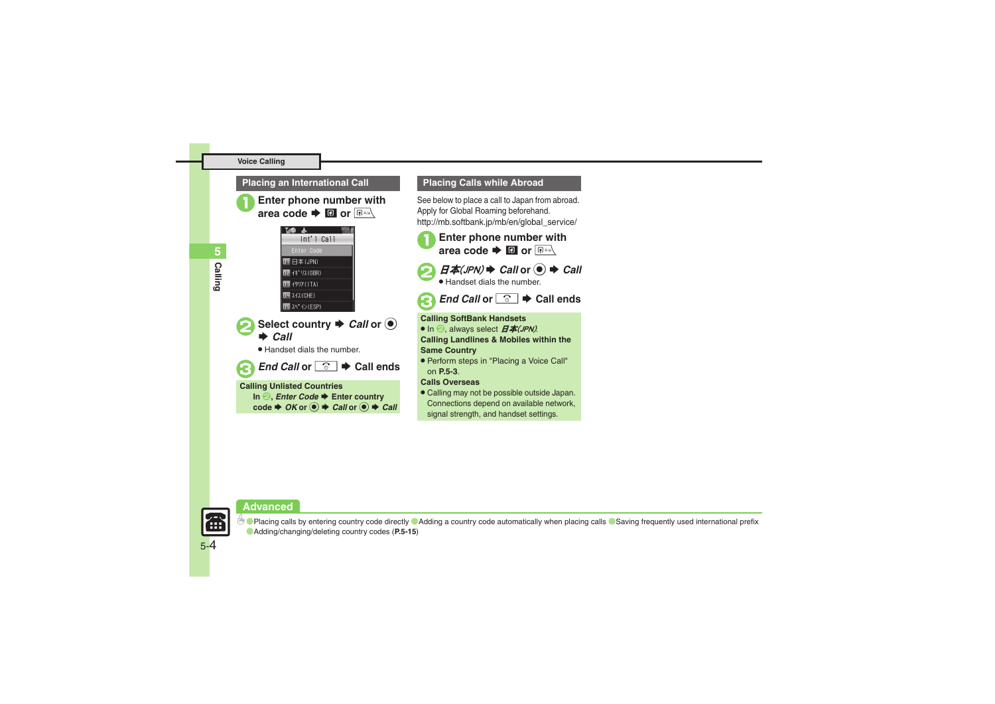## **Placing an International Call**



**Enter phone number with** area code  $\blacktriangleright$  **a** or  $\boxed{B}$ 



Select country  $\rightarrow$  *Call* or  $\odot$  $\rightarrow$  *Call* 

. Handset dials the number.



## **Calling Unlisted Countries**

**In <sup>2</sup>,** *Enter Code* $\blacktriangleright$  **Enter country**  $\c{code} \Rightarrow OK$  or  $\odot \Rightarrow Call$  or  $\odot \Rightarrow Call$ 

## **Placing Calls while Abroad**

See below to place a call to Japan from abroad. Apply for Global Roaming beforehand. http://mb.softbank.jp/mb/en/global\_service/





Handset dials the number.

*End Call* or  $\boxed{\circ}$   $\blacktriangleright$  Call ends

#### **Calling SoftBank Handsets**

 $\bullet$  In  $\odot$ , always select  $E\#(JPN)$ . **Calling Landlines & Mobiles within the Same Country**

. Perform steps in "Placing a Voice Call" on **[P.5-3](#page-2-1)**.

### **Calls Overseas**

. Calling may not be possible outside Japan. Connections depend on available network, signal strength, and handset settings.

#### **Advanced**



5-4

**<sup>6</sup>** [Placing calls by entering country code directly](#page-14-2) **[Adding a country code automatically when placing calls](#page-14-3) Saving frequently used international prefix** ([Adding/changing/deleting country codes](#page-14-5) (**[P.5-15](#page-14-4)**)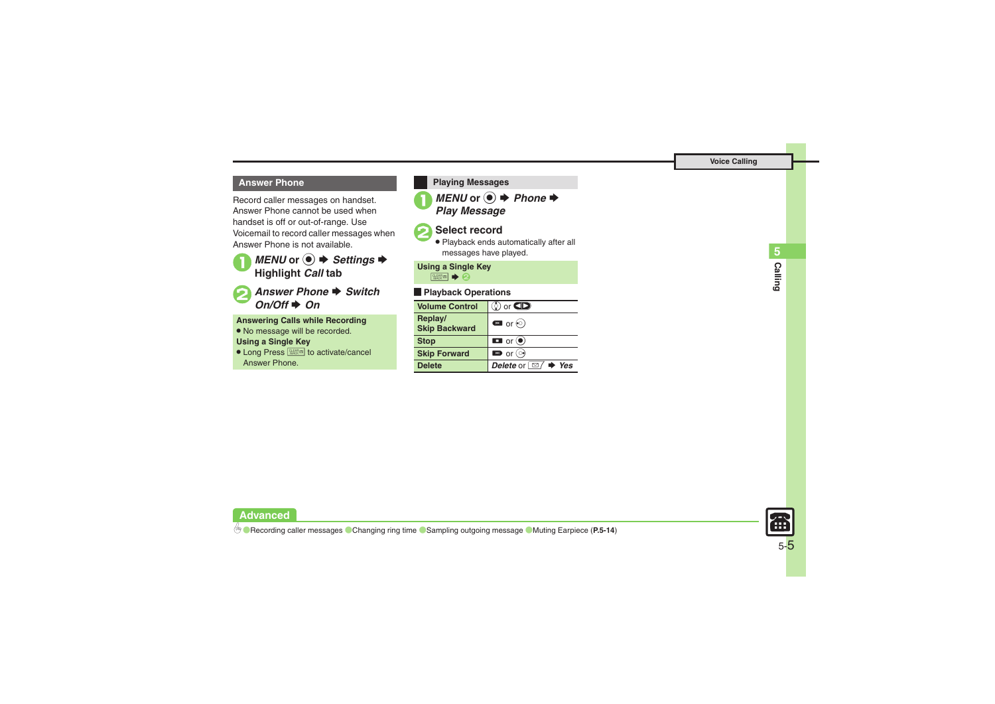## **Answer Phone**

Record caller messages on handset. Answer Phone cannot be used when handset is off or out-of-range. Use Voicemail to record caller messages when Answer Phone is not available.



**2** Answer Phone ♦ Switch *On/Off*S *On*

**Answering Calls while Recording**

. No message will be recorded.

## **Using a Single Key**

**Advanced**

● Long Press <sup>SHE</sup> to activate/cancel Answer Phone.

**1** *MENU* or **●** *Phone Play Message* **Playing Messages**

## Select record

. Playback ends automatically after all messages have played.

## **Using a Single Key**

882 → 2

## [ **Playback Operations**

| <b>Volume Control</b>           | $\ddot{\mathbf{S}}$ or $\mathbf{CD}$       |
|---------------------------------|--------------------------------------------|
| Replay/<br><b>Skip Backward</b> | $\bullet$ or $\odot$                       |
| <b>Stop</b>                     | $\blacksquare$ or $\odot$                  |
| <b>Skip Forward</b>             | $\blacksquare$ or $\odot$                  |
| <b>Delete</b>                   | Delete or $\Box$ $\blacktriangleright$ Yes |

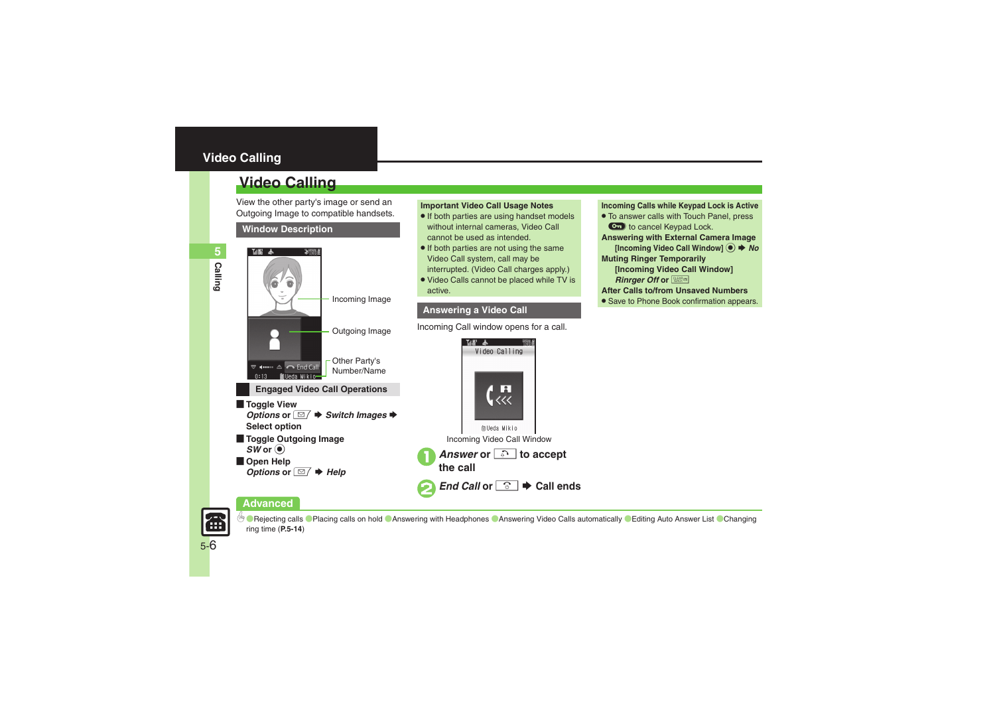## <span id="page-5-0"></span>**Video Calling**

## **Video Calling**

View the other party's image or send an Outgoing Image to compatible handsets.





## **Important Video Call Usage Notes**

- If both parties are using handset models without internal cameras, Video Call cannot be used as intended.
- If both parties are not using the same Video Call system, call may be interrupted. (Video Call charges apply.)
- Video Calls cannot be placed while TV is active.

## **Answering a Video Call**

Incoming Call window opens for a call.



- . To answer calls with Touch Panel, press Cancel Keypad Lock.
- **Answering with External Camera Image**
- **Incoming Video Call Windowl**  $\odot$  $\rightarrow$  **No Muting Ringer Temporarily**
- **[Incoming Video Call Window]**  *Rinraer Off* or **<b>\$**\$\$
- 
- **After Calls to/from Unsaved Numbers**
- **Save to Phone Book confirmation appears.**



- *Options* or  $\boxed{\textcircled{}}$   $\blacktriangleright$  *Switch Images*  $\blacktriangleright$ **Select option**
- [ **Toggle Outgoing Image**  $SWor$   $\odot$
- **Den Help** *Options* or  $\boxed{\simeq}$  *i* → *Help*



## **Advanced**

**<sup>(s</sup>)** [Rejecting calls](#page-13-1) **C**[Placing calls on hold](#page-13-2) C[Answering with Headphones](#page-13-3) C[Answering Video Calls automatically](#page-13-8) Caliting Auto Answer List CChanging [ring time](#page-13-10) (**[P.5-14](#page-13-1)**)

**Calling**

**5**

# 5-6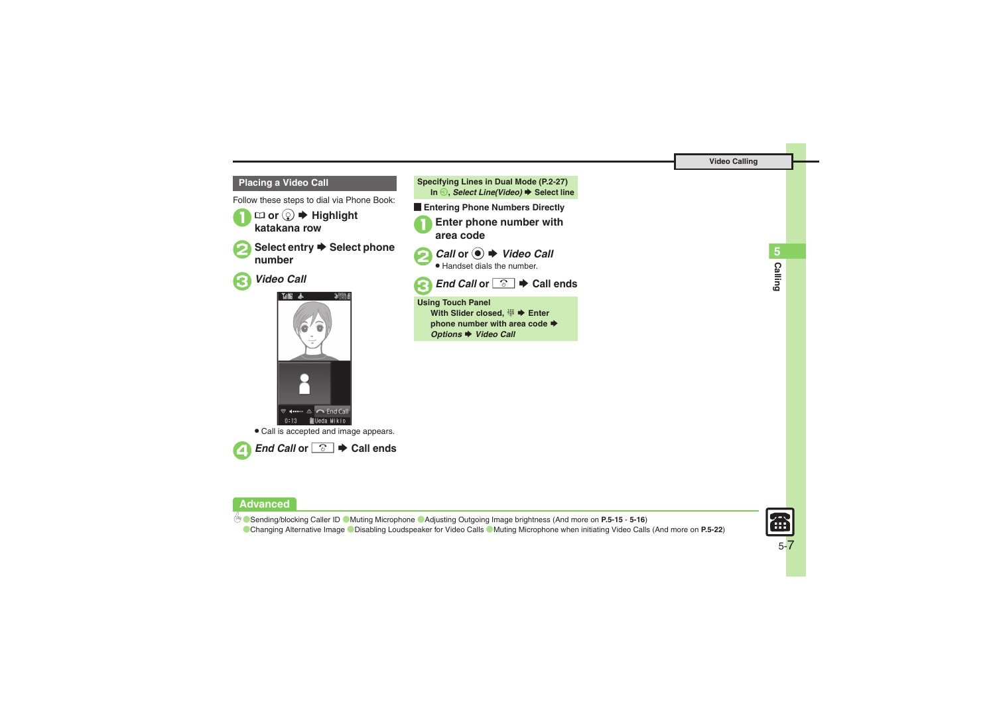Follow these steps to dial via Phone Book:



 $\square$  or  $\textcircled{\tiny{\odot}}$   $\blacktriangleright$  Highlight **katakana row**



**◯ Select entry**  $\rightarrow$  **Select phone number**



3*Video Call*







**Entering Phone Numbers Directly** 

1**Enter phone number with area code**



**2** *Call* or **●** *Video Call* 

. Handset dials the number.



**€** *End Call* or  $\boxed{\circ}$   $\blacktriangleright$  Call ends

**Using Touch Panel With Slider closed,**  %S **Enter phone number with area code ♦ Options → Video Call** 

**Calling 5**

## **Advanced**

4 **C** [Sending/blocking Caller ID](#page-14-0) C[Muting Microphone](#page-14-1) C[Adjusting Outgoing Image brightness](#page-15-1) (And more on [P.5-15](#page-14-0) - [5-16](#page-15-1)) **[Changing Alternative Image](#page-21-0) C[Disabling Loudspeaker for Video Calls](#page-21-1) C[Muting Microphone when initiating Video Calls](#page-21-2) (And more on [P.5-22](#page-21-2))** 

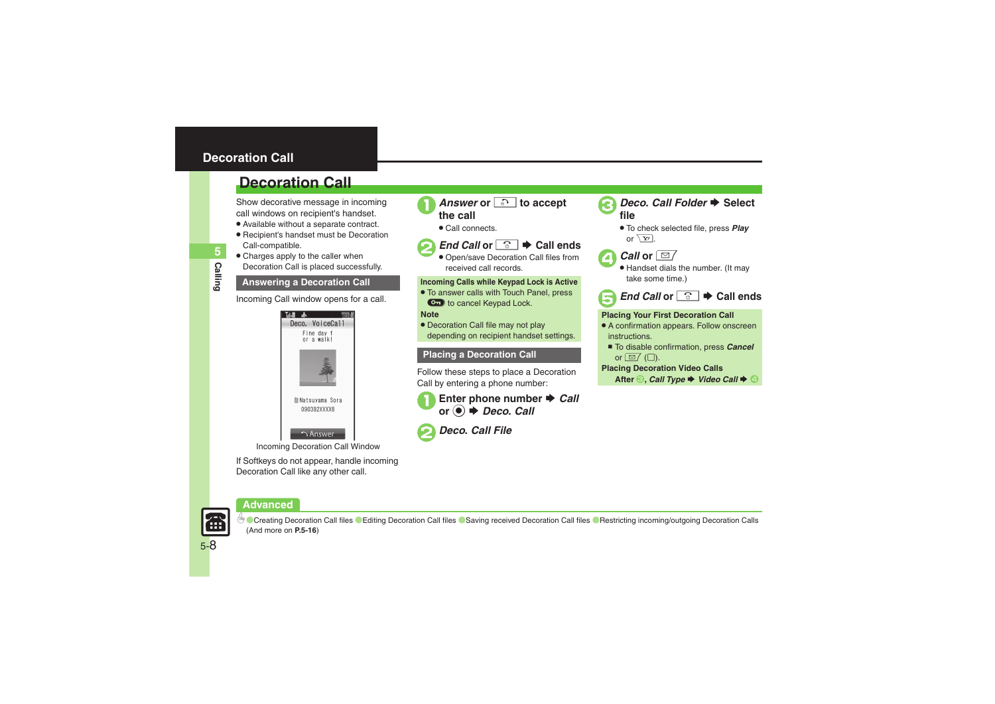## <span id="page-7-0"></span>**Decoration Call**

## **Decoration Call**

Show decorative message in incoming call windows on recipient's handset.

- . Available without a separate contract.
- . Recipient's handset must be Decoration Call-compatible.
- Charges apply to the caller when Decoration Call is placed successfully.

Incoming Call window opens for a call.



If Softkeys do not appear, handle incoming Decoration Call like any other call.



- *Answer* or **... b** accept the call
- . Call connects.



```
End Call or \boxed{\circ} \blacktriangleright Call ends
```
 Open/save Decoration Call files from received call records.

## **Answering a Decoration Call Incoming Calls while Keypad Lock is Active**

. To answer calls with Touch Panel, press  $\bullet$  to cancel Keypad Lock.

## **Note**

. Decoration Call file may not play depending on recipient handset settings.

## **Placing a Decoration Call**

Follow these steps to place a Decoration Call by entering a phone number:

Enter phone number  $\rightarrow$  *Call* or  $\odot$   $\rightarrow$  *Deco. Call* 



## 2*Deco***.** *Call File*



# *Deco. Call Folder* **→ Select file**

. To check selected file, press *Play* or  $\sqrt{\mathbf{Y}}$ 



- *Call* or  $\boxed{\boxtimes}$
- Handset dials the number. (It may take some time.)



### **Placing Your First Decoration Call**

- . A confirmation appears. Follow onscreen instructions.
- To disable confirmation, press *Cancel* or  $\boxed{\boxtimes}$  ( $\boxed{\Box}$ ).

### **Placing Decoration Video Calls**

**After** *S*, *Call Type* ♦ *Video Call* ♦ 4

**Advanced**



5-8

**<sup>6</sup>** [Creating Decoration Call files](#page-15-2) C[Editing Decoration Call files](#page-15-3) C[Saving received Decoration Call files](#page-15-4) CRestricting incoming/outgoing Decoration Calls (And more on **[P.5-16](#page-15-2)**)

**Calling 5**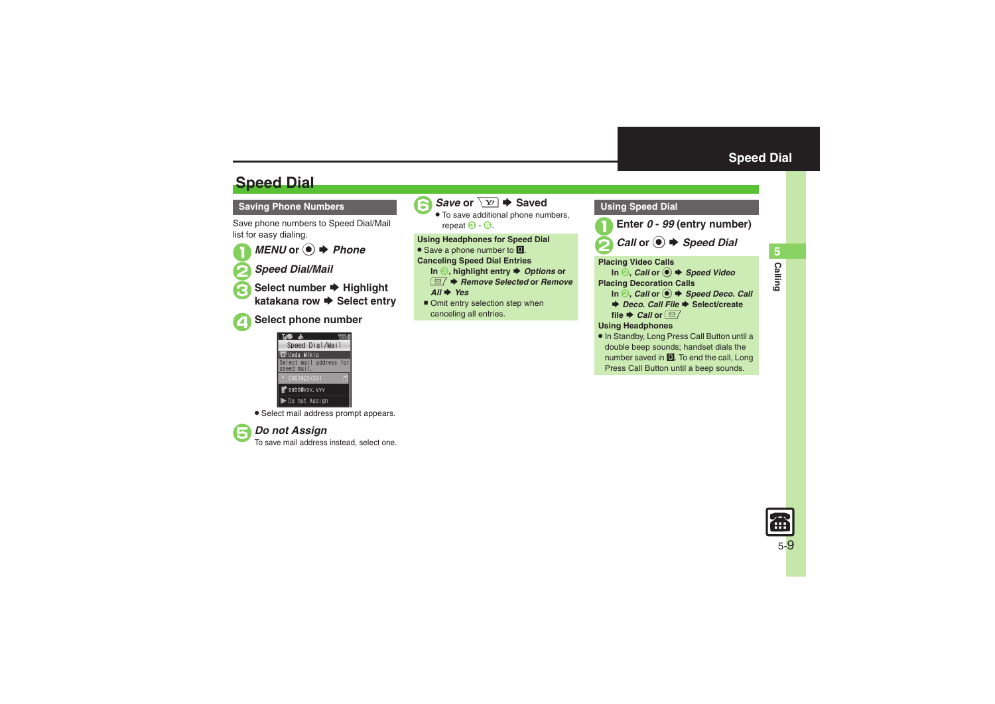**Calling 5**

## **Speed Dial**

## **Saving Phone Numbers**

Save phone numbers to Speed Dial/Mail list for easy dialing.



■ *MENU* or ● *→ Phone* 2*Speed Dial/Mail*

**Select number → Highlight katakana row ➡ Select entry** 

| ×<br>۰.<br>w<br>٧ |
|-------------------|

## **Bect phone number**



. Select mail address prompt appears.



**Do not Assign**<br>To save mail address instead, select one.



**6** Save or  $\boxed{Y}$   $\rightarrow$  Saved

 . To save additional phone numbers, repeat  $\Theta$   $\Theta$ . **3** Enter

**Using Headphones for Speed Dial**

• Save a phone number to **I**.

**Canceling Speed Dial Entries**

- **In ☉, highlight entry ♦** *Options* **or**
- BS *Remove Selected* **or** *Remove All*  $\rightarrow$  *Yes*
- Omit entry selection step when canceling all entries.

<span id="page-8-0"></span>

Press Call Button until a beep sounds.

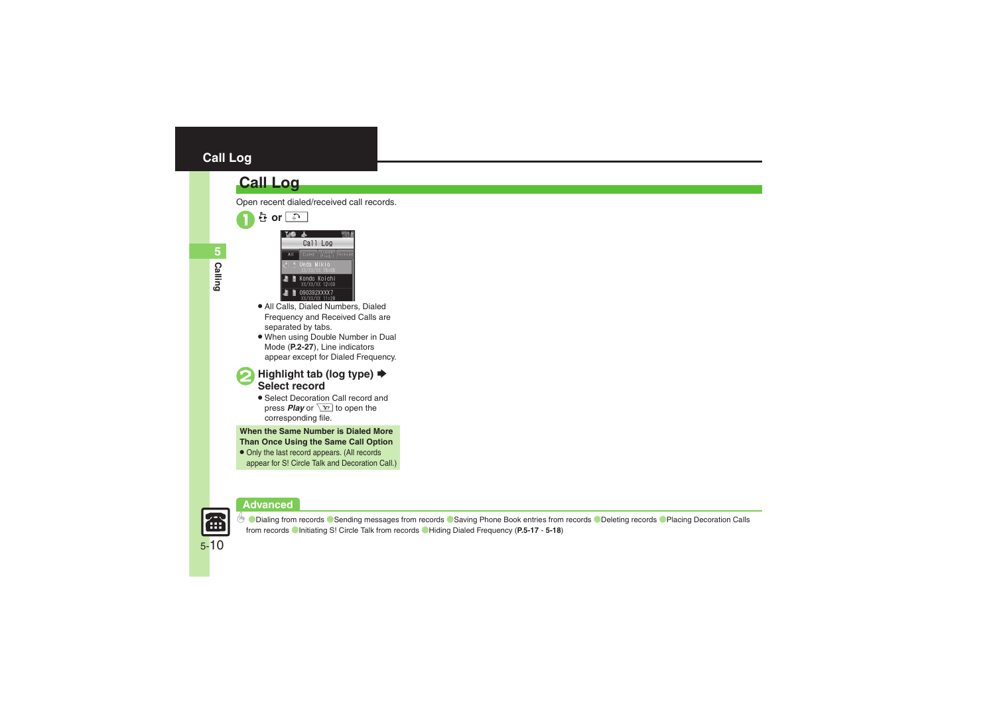## **Call Log**

## **Call Log**







- . All Calls, Dialed Numbers, Dialed Frequency and Received Calls are separated by tabs.
- . When using Double Number in Dual Mode (**P.2-27**), Line indicators appear except for Dialed Frequency.
- **Highlight tab (log type) →**<br>Select record
	- . Select Decoration Call record and press **Play** or  $\boxed{Y}$  to open the corresponding file.

**When the Same Number is Dialed More Than Once Using the Same Call Option**

. Only the last record appears. (All records appear for S! Circle Talk and Decoration Call.)





**6 Dialing from records** [Sending messages from records](#page-16-0) [Saving Phone Book entries from records](#page-16-2) C[Deleting records](#page-16-3) CPlacing Decoration Calls [from records](#page-16-4) (Initiating S! [Circle Talk from records](#page-17-1) ([Hiding Dialed Frequency](#page-17-2) (**[P.5-17](#page-16-1)** - **[5-18](#page-17-2)**)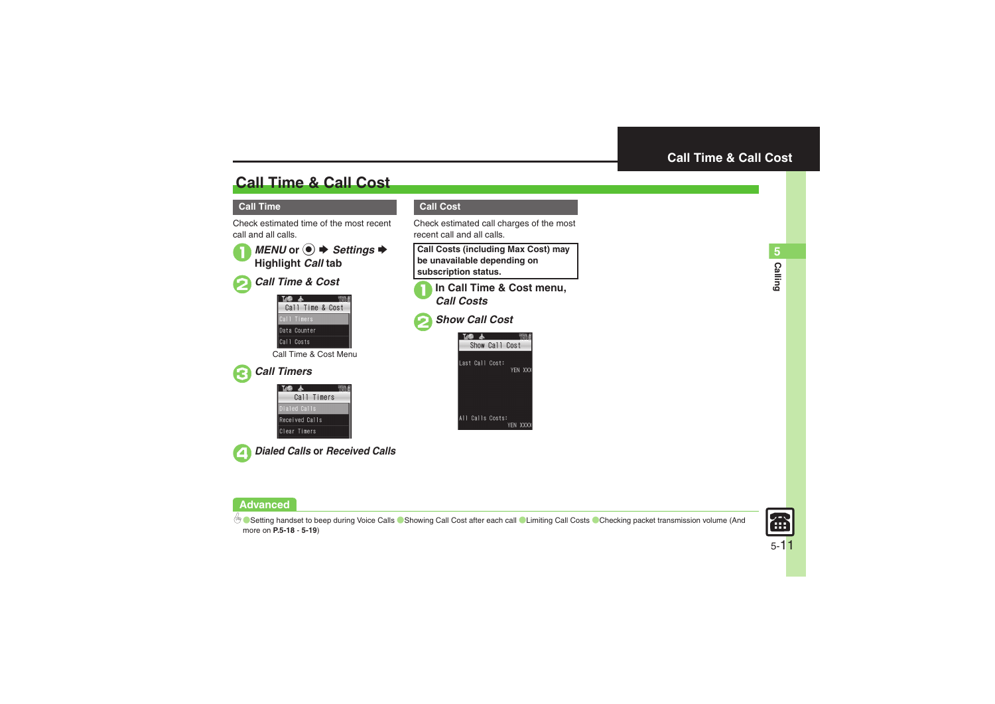## **Call Time & Call Cost**

## **Call Time**

Check estimated time of the most recent call and all calls.





2*Call Time & Cost*

| M           |                  |  |
|-------------|------------------|--|
|             | Call Time & Cost |  |
| Call Timers |                  |  |
|             | Data Counter     |  |
| Call Costs  |                  |  |

Call Time & Cost Menu



| Call Timers    |  |
|----------------|--|
| Dialed Calls   |  |
| Received Calls |  |
| Clear Timers   |  |



4*Dialed Calls* **or** *Received Calls*

## <span id="page-10-0"></span>**Call Cost**

Check estimated call charges of the most recent call and all calls.

**Call Costs (including Max Cost) may be unavailable depending on subscription status.**



1**In Call Time & Cost menu,** *Call Costs*

## 2*Show Call Cost*





4 O [Setting handset to beep during Voice Calls](#page-17-3) O [Showing Call Cost after each call](#page-17-4) O[Limiting Call Costs](#page-17-0) O [Checking packet transmission volume](#page-18-0) (And more on **[P.5-18](#page-17-3)** - **[5-19](#page-18-0)**)

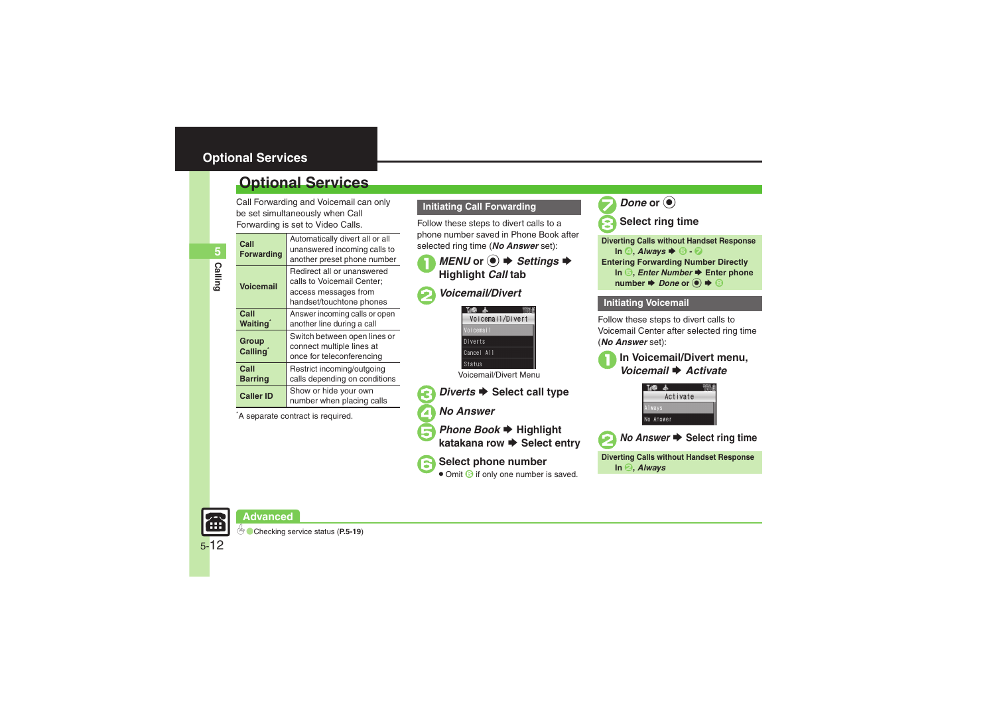## <span id="page-11-0"></span>**Optional Services**

Call Forwarding and Voicemail can only be set simultaneously when Call Forwarding is set to Video Calls.

| UI WAI UII IY IS SEL IU VIUEU UAIIS. |                                                                                                              |  |  |  |
|--------------------------------------|--------------------------------------------------------------------------------------------------------------|--|--|--|
| Call<br><b>Forwarding</b>            | Automatically divert all or all<br>unanswered incoming calls to<br>another preset phone number               |  |  |  |
| Voicemail                            | Redirect all or unanswered<br>calls to Voicemail Center;<br>access messages from<br>handset/touchtone phones |  |  |  |
| Call<br>Waitinq <sup>*</sup>         | Answer incoming calls or open<br>another line during a call                                                  |  |  |  |
| Group<br>Calling`                    | Switch between open lines or<br>connect multiple lines at<br>once for teleconferencing                       |  |  |  |
| Call<br>Barring                      | Restrict incoming/outgoing<br>calls depending on conditions                                                  |  |  |  |
| <b>Caller ID</b>                     | Show or hide your own<br>number when placing calls                                                           |  |  |  |

\*A separate contract is required.

## **Initiating Call Forwarding**

Follow these steps to divert calls to a phone number saved in Phone Book after selected ring time (*No Answer* set):

# *MENU* or ●  $\blacktriangleright$  *Settings*  $\blacktriangleright$  *Highlight Call* tab

## 2*Voicemail/Divert*



Voicemail/Divert Menu

## *Diverts* ♦ Select call type

- 4*No Answer*
- **Phone Book → Highlight katakana row → Select entry**

Select phone number Omit 6 if only one number is saved.





| <b>Diverting Calls without Handset Response</b>                                                                                |
|--------------------------------------------------------------------------------------------------------------------------------|
| In $\odot$ . Always $\blacktriangleright$ $\odot$ - $\odot$                                                                    |
| <b>Entering Forwarding Number Directly</b>                                                                                     |
| In $\odot$ , <i>Enter Number</i> $\rightarrow$ Enter phone                                                                     |
| number $\blacktriangleright$ Done or $\textcircled{\scriptsize{\bullet}} \blacktriangleright \textcircled{\scriptsize{\circ}}$ |

## **Initiating Voicemail**

Follow these steps to divert calls to Voicemail Center after selected ring time (*No Answer* set):







*No Answer*  $\rightarrow$  Select ring time

**Diverting Calls without Handset Response In** 2**,** *Always*

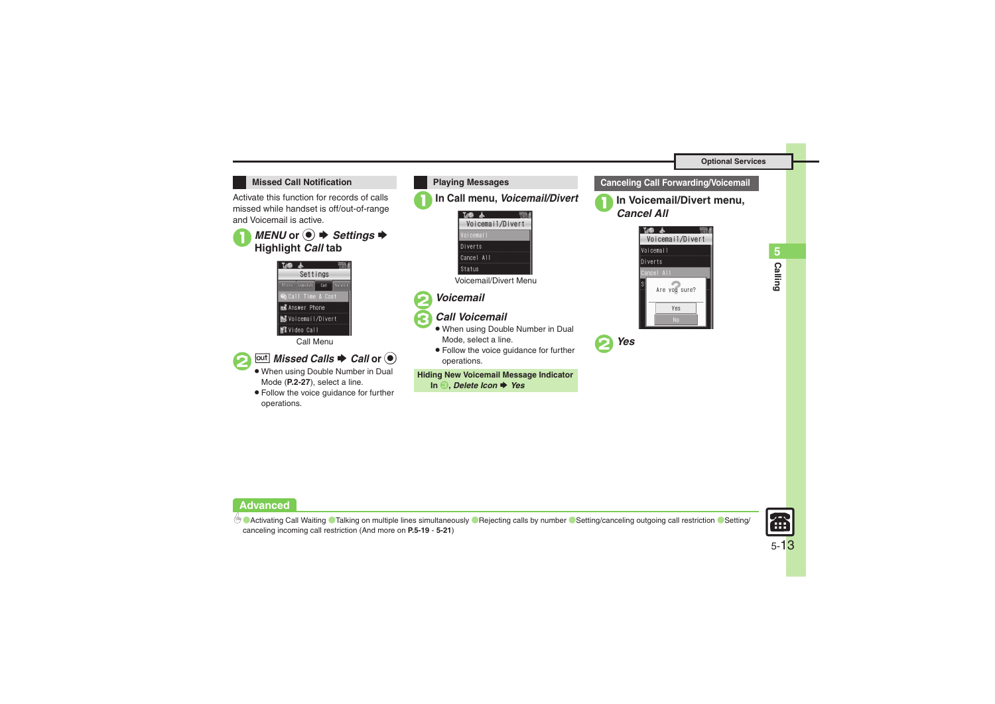

Activate this function for records of calls missed while handset is off/out-of-range and Voicemail is active.





Call Menu



## *<u>Out</u></del> Missed Calls*  $\blacktriangleright$  *Call or*  $\odot$

- . When using Double Number in Dual Mode (**P.2-27**), select a line.
- . Follow the voice guidance for further operations.







## 3*Call Voicemail*



. Follow the voice guidance for further operations.

**Hiding New Voicemail Message Indicator**

**In**  3**,** *Delete Icon* S *Yes*



1**In Voicemail/Divert menu,** *Cancel All*





**Advanced**

4 **[Activating Call Waiting](#page-18-2) C[Talking on multiple lines simultaneously](#page-18-3) C[Rejecting calls by number](#page-18-4) C[Setting/canceling outgoing call restriction](#page-19-0) C[Setting/](#page-20-1)** [canceling incoming call restriction](#page-20-1) (And more on **[P.5-19](#page-18-2)** - **[5-21](#page-20-1)**)



5-13

**Calling 5**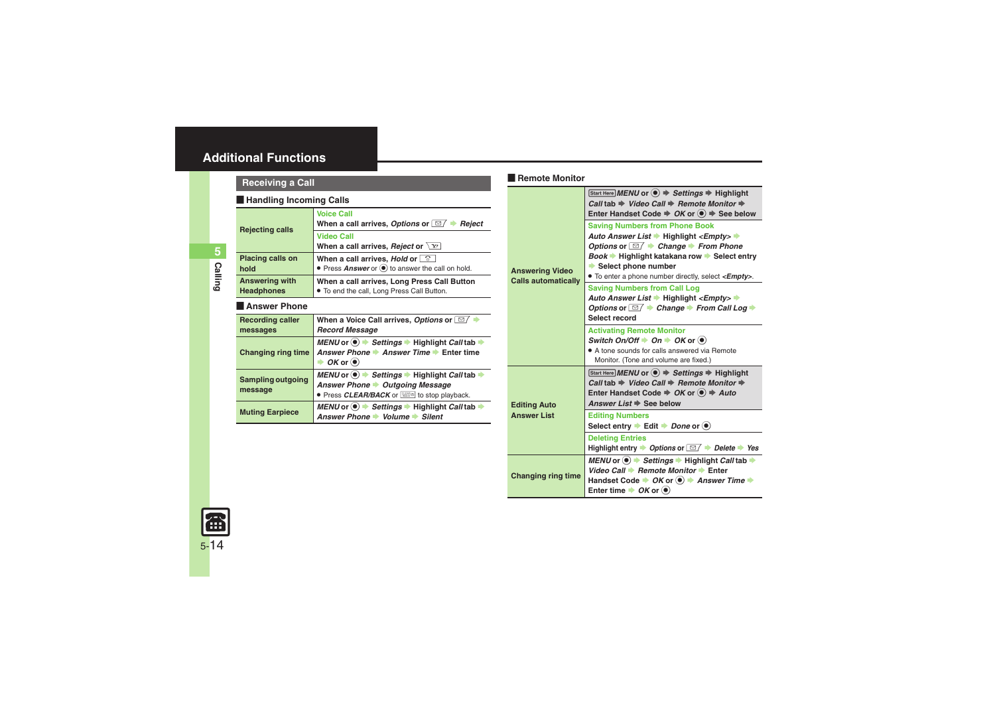## <span id="page-13-0"></span>**Additional Functions**

## **Receiving a Call**

#### [ **Handling Incoming Calls**

<span id="page-13-5"></span><span id="page-13-4"></span><span id="page-13-3"></span><span id="page-13-2"></span><span id="page-13-1"></span>

| <b>Rejecting calls</b>                     | <b>Voice Call</b><br>When a call arrives, Options or $\Box$ $\blacktriangleright$<br>Reject                                                                                                     |  |
|--------------------------------------------|-------------------------------------------------------------------------------------------------------------------------------------------------------------------------------------------------|--|
|                                            | <b>Video Call</b><br>When a call arrives, <i>Reject</i> or $\setminus$ $\setminus$ $\setminus$                                                                                                  |  |
| <b>Placing calls on</b><br>hold            | When a call arrives, Hold or $\Box$<br>• Press Answer or $\left($ <sup>o</sup> to answer the call on hold.                                                                                      |  |
| <b>Answering with</b><br><b>Headphones</b> | When a call arrives, Long Press Call Button<br>. To end the call, Long Press Call Button.                                                                                                       |  |
| <b>Answer Phone</b>                        |                                                                                                                                                                                                 |  |
| <b>Recording caller</b><br>messages        | When a Voice Call arrives, Options or $\Box$<br><b>Record Message</b>                                                                                                                           |  |
| <b>Changing ring time</b>                  | MENU or $\left( \bullet \right)$ $\Rightarrow$ Settings $\Rightarrow$ Highlight Call tab $\Rightarrow$<br>Answer Phone → Answer Time → Enter time<br>$\rightarrow$ OK or $\left(\bullet\right)$ |  |
| Sampling outgoing<br>message               | $MEMOo$ $\rightarrow$ Settings $\rightarrow$ Highlight Call tab $\rightarrow$<br>Answer Phone > Outgoing Message<br>• Press CLEAR/BACK or <b>the state of the Stop playback</b> .               |  |
| <b>Muting Earpiece</b>                     | MENU or $\circledast$ > Settings $\Rightarrow$ Highlight Call tab $\Rightarrow$<br>Answer Phone → Volume → Silent                                                                               |  |

## Remote Monitor

<span id="page-13-10"></span><span id="page-13-9"></span><span id="page-13-8"></span>

|                                                      | Start Here MENU or $\textcircled{\textcircled{\textcirc}} \Rightarrow$ Settings $\Rightarrow$ Highlight<br>Call tab $\Rightarrow$ Video Call $\Rightarrow$ Remote Monitor $\Rightarrow$<br>Enter Handset Code $\Rightarrow$ OK or $\left( \bullet \right) \Rightarrow$ See below                                                           |  |  |  |
|------------------------------------------------------|--------------------------------------------------------------------------------------------------------------------------------------------------------------------------------------------------------------------------------------------------------------------------------------------------------------------------------------------|--|--|--|
| <b>Answering Video</b><br><b>Calls automatically</b> | <b>Saving Numbers from Phone Book</b><br>Auto Answer List → Highlight <empty> →<br/>Options or <math>\Box</math> <math>\rightarrow</math> Change <math>\rightarrow</math> From Phone<br/>Book → Highlight katakana row → Select entry<br/>Select phone number<br/>• To enter a phone number directly, select &lt;<b>Empty</b>&gt;.</empty> |  |  |  |
|                                                      | <b>Saving Numbers from Call Log</b><br>Auto Answer List → Highlight <empty> →<br/>Options or <math>\Box</math> <math>\rightarrow</math> Change <math>\rightarrow</math> From Call Log <math>\rightarrow</math><br/>Select record</empty>                                                                                                   |  |  |  |
|                                                      | <b>Activating Remote Monitor</b><br>Switch On/Off $\rightarrow$ On $\rightarrow$ OK or $\circledast$<br>• A tone sounds for calls answered via Remote<br>Monitor. (Tone and volume are fixed.)                                                                                                                                             |  |  |  |
| <b>Editing Auto</b>                                  | Start Here MENU or $\left( \bullet \right)$ $\Rightarrow$ Settings $\Rightarrow$ Highlight<br>Call tab $\Rightarrow$ Video Call $\Rightarrow$ Remote Monitor $\Rightarrow$<br>Enter Handset Code $\Rightarrow$ OK or $\left( \bullet \right) \Rightarrow$ Auto<br>Answer List $\Rightarrow$ See below                                      |  |  |  |
| <b>Answer List</b>                                   | <b>Editing Numbers</b><br>Select entry $\blacktriangleright$ Edit $\blacktriangleright$ Done or $\textcircled{\scriptsize{\bullet}}$                                                                                                                                                                                                       |  |  |  |
|                                                      | <b>Deleting Entries</b><br>Highlight entry $\rightarrow$ Options or $\boxed{\simeq}$ $\rightarrow$ Delete $\rightarrow$ Yes                                                                                                                                                                                                                |  |  |  |
| <b>Changing ring time</b>                            | <i>MENU</i> or <sup>(●)</sup> $\rightarrow$ Settings $\rightarrow$ Highlight <i>Call</i> tab $\rightarrow$<br>Video Call → Remote Monitor → Enter<br>Handset Code → OK or <sup>●</sup> Answer Time →<br>Enter time $\rightarrow$ OK or $\circledast$                                                                                       |  |  |  |

<span id="page-13-7"></span><span id="page-13-6"></span>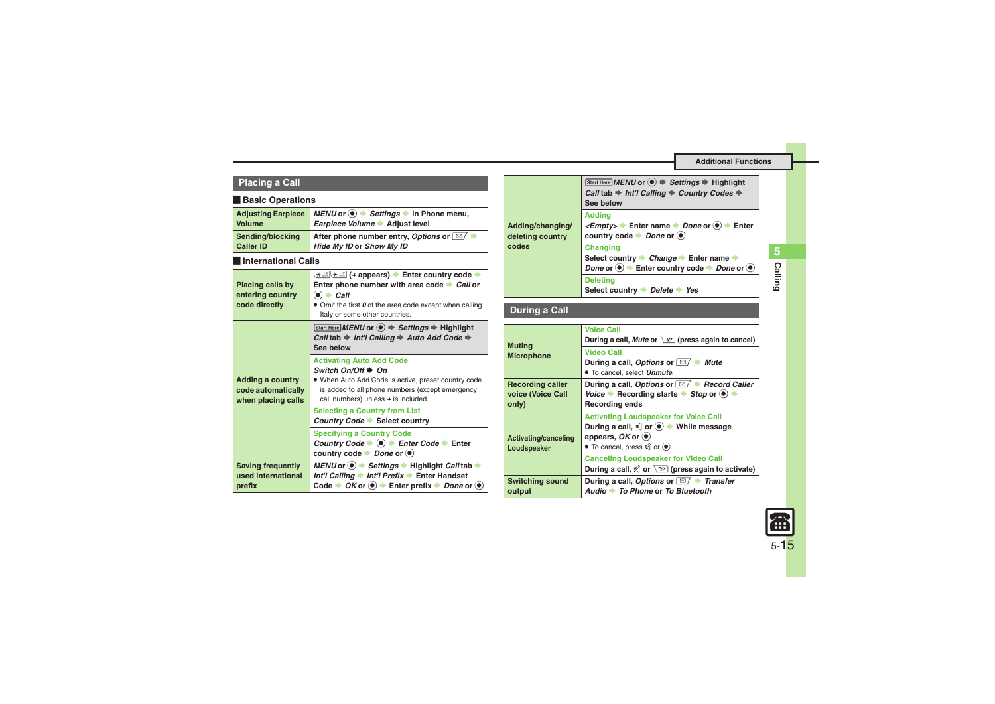#### **Additional Functions**

| <b>Placing a Call</b> |  |  |  |  |  |  |  |
|-----------------------|--|--|--|--|--|--|--|
|-----------------------|--|--|--|--|--|--|--|

#### [ **Basic Operations**

<span id="page-14-6"></span><span id="page-14-4"></span><span id="page-14-3"></span><span id="page-14-2"></span><span id="page-14-0"></span>

| <b>Adjusting Earpiece</b><br>Volume                                 | MENU or $\circledast$ $\Rightarrow$ Settings $\Rightarrow$ In Phone menu,<br>Earpiece Volume → Adjust level                                                                                                                          |
|---------------------------------------------------------------------|--------------------------------------------------------------------------------------------------------------------------------------------------------------------------------------------------------------------------------------|
| Sending/blocking<br><b>Caller ID</b>                                | After phone number entry, Options or $\Box$ $\rightarrow$<br>Hide My ID or Show My ID                                                                                                                                                |
| International Calls                                                 |                                                                                                                                                                                                                                      |
| <b>Placing calls by</b><br>entering country<br>code directly        | <del>X . appears &gt;</del> Enter country code →<br>Enter phone number with area code $\rightarrow$ Call or<br>$\bullet$ $\bullet$ Call<br>• Omit the first 0 of the area code except when calling<br>Italy or some other countries. |
|                                                                     | Start Here MENU or $\textcircled{\textcircled{\textcirc}} \Rightarrow$ Settings $\Rightarrow$ Highlight<br>Call tab $\Rightarrow$ Int'l Calling $\Rightarrow$ Auto Add Code $\Rightarrow$<br>See below                               |
| <b>Adding a country</b><br>code automatically<br>when placing calls | <b>Activating Auto Add Code</b><br>Switch $On/Off \rightarrow On$<br>. When Auto Add Code is active, preset country code<br>is added to all phone numbers (except emergency<br>call numbers) unless $+$ is included.                 |
|                                                                     | <b>Selecting a Country from List</b><br>Country Code Select country                                                                                                                                                                  |
|                                                                     | <b>Specifying a Country Code</b><br>Country Code $\blacktriangleright$ (a) $\blacktriangleright$ Enter Code $\blacktriangleright$ Enter<br>country code $\rightarrow$ Done or $\circledast$                                          |
| <b>Saving frequently</b><br>used international<br>prefix            | MENU or $\bullet$ $\rightarrow$ Settings $\rightarrow$ Highlight Call tab $\rightarrow$<br>Int'l Calling • Int'l Prefix • Enter Handset<br>Code $\rightarrow$ OK or $\odot$ $\rightarrow$ Enter prefix $\rightarrow$ Done or $\odot$ |

<span id="page-14-5"></span><span id="page-14-1"></span>

| Adding/changing/<br>deleting country<br>codes         | Start Here MENU or $\textcircled{\textcircled{\textcirc}} \Rightarrow$ Settings $\Rightarrow$ Highlight<br>Call tab $\Rightarrow$ Int'l Calling $\Rightarrow$ Country Codes $\Rightarrow$<br>See below                                                     |  |
|-------------------------------------------------------|------------------------------------------------------------------------------------------------------------------------------------------------------------------------------------------------------------------------------------------------------------|--|
|                                                       | <b>Addina</b><br><empty> <math>\rightarrow</math> Enter name <math>\rightarrow</math> Done or <math>\odot</math> <math>\rightarrow</math> Enter<br/>country code <math>\rightarrow</math> Done or <math>\circledast</math></empty>                         |  |
|                                                       | <b>Changing</b><br>Select country → Change → Enter name →<br>Done or $\odot$ $\blacktriangleright$ Enter country code $\blacktriangleright$ Done or $\odot$                                                                                                |  |
|                                                       | <b>Deleting</b><br>Select country $\rightarrow$ Delete $\rightarrow$ Yes                                                                                                                                                                                   |  |
| During a Call                                         |                                                                                                                                                                                                                                                            |  |
| <b>Muting</b><br><b>Microphone</b>                    | <b>Voice Call</b><br>During a call, Mute or $\sqrt{Y}$ (press again to cancel)                                                                                                                                                                             |  |
|                                                       | <b>Video Call</b><br>During a call, Options or $\Box$ $\blacktriangleright$ Mute<br>• To cancel, select <i>Unmute</i> .                                                                                                                                    |  |
| <b>Recording caller</b><br>voice (Voice Call<br>only) | During a call, Options or $\boxed{\simeq}$ $\blacktriangleright$ Record Caller<br>Voice $\blacktriangleright$ Recording starts $\blacktriangleright$ Stop or $(\bullet) \blacktriangleright$<br><b>Recording ends</b>                                      |  |
| Activating/canceling<br>Loudspeaker                   | <b>Activating Loudspeaker for Voice Call</b><br>During a call, $\triangleleft$ or $\circledbullet$ $\Rightarrow$ While message<br>appears, $OK$ or $\odot$<br>• To cancel, press $\mathcal{R}$ or $\odot$ .<br><b>Canceling Loudspeaker for Video Call</b> |  |
|                                                       | During a call, $\mathcal A$ or $\overline{Y}$ (press again to activate)                                                                                                                                                                                    |  |
| <b>Switching sound</b><br>output                      | During a call, Options or $\Box$ Transfer<br>Audio → To Phone or To Bluetooth                                                                                                                                                                              |  |

<span id="page-14-7"></span>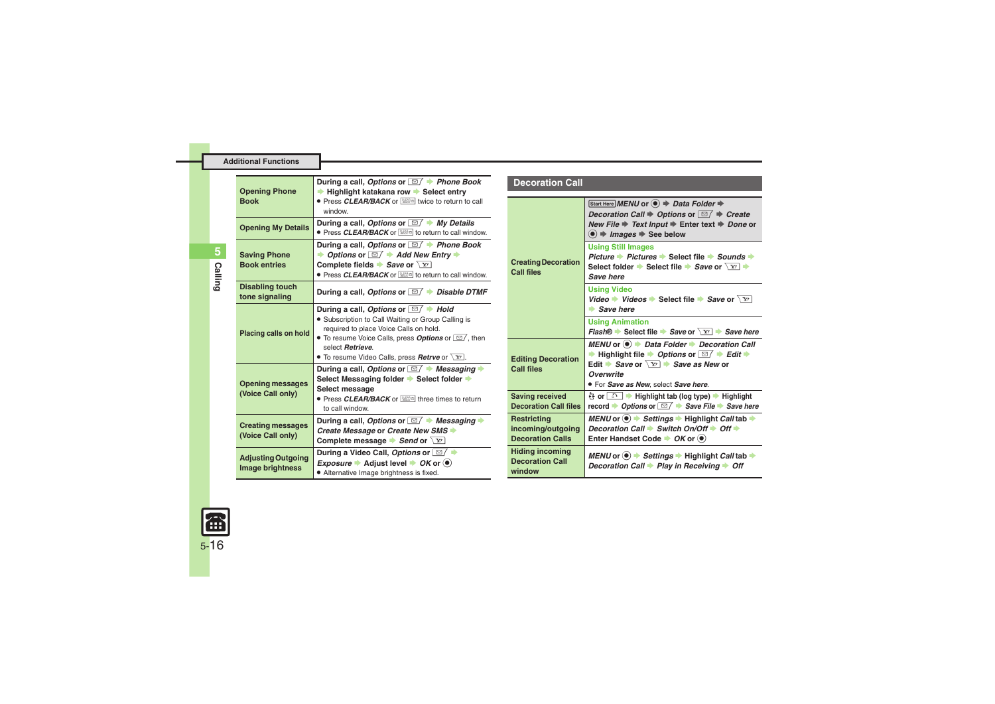|              | <b>Additional Functions</b>                |                                                                                                                                                                                                                         |
|--------------|--------------------------------------------|-------------------------------------------------------------------------------------------------------------------------------------------------------------------------------------------------------------------------|
|              |                                            |                                                                                                                                                                                                                         |
|              | <b>Opening Phone</b><br><b>Book</b>        | During a call, Options or $\boxed{\boxtimes}$ $\blacktriangleright$ Phone Book<br>Highlight katakana row → Select entry<br>● Press CLEAR/BACK or <b>WEED</b> twice to return to call<br>window.                         |
|              | <b>Opening My Details</b>                  | During a call, Options or $\boxed{\simeq}$ $\blacktriangleright$ My Details<br>• Press CLEAR/BACK or <b>WEED</b> to return to call window                                                                               |
| 5,<br>Callin | <b>Saving Phone</b><br><b>Book entries</b> | During a call, Options or $\Box$ Phone Book<br>Options or $\Box$ $\rightarrow$ Add New Entry<br>Complete fields $\blacktriangleright$ Save or $\boxed{Y}$<br>● Press CLEAR/BACK or <b>NHOW</b> to return to call window |
| $\sim$       | Disabling touch                            |                                                                                                                                                                                                                         |

<span id="page-15-0"></span>**Placing calls on hold**

**Opening messages (Voice Call only)**

**Creating messages (Voice Call only)**

<span id="page-15-1"></span>**Adjusting Outgoing Image brightness**

#### **Opening My Details During a call,** *Options* **or**  $\boxed{\cong}$  **/**  $\Rightarrow$ *My Details* **. <br>
● Press** *CLEAR/BACK* **or <b>\$ to return to call window. During a call,** *Options* **or** BS *Phone Book Add New Entry*  $P$  or  $\sqrt{Y}$ **• Press CLEAR/BACK** or **solution** to return to call window. **tone signaling During a call, Options or <b>■** *Disable DTMF* **During a call,** *Options* **or** BS *Hold* **.** Subscription to Call Waiting or Group Calling is required to place Voice Calls on hold. • To resume Voice Calls, press **Options** or  $\Box$ , then select *Retrieve*.**•** To resume Video Calls, press **Retrve** or  $\boxed{\mathbf{Y}}$ . **During a call, Options or**  $\boxed{\approx}$ *Messaging* Select Messaging folder  $\rightarrow$  Select folder  $\rightarrow$ **Select message • Press CLEAR/BACK** or **solution** three times to return to call window.**During a call, Options or**  $\boxed{\otimes}$  **/ Messaging** *Create Message* or *Create New SMS* **Complete message**  $\blacktriangleright$ *Send* **or**  $\overline{\setminus x}$ **During a Video Call,** *Options* or  $\boxed{\text{B}$ *Exposure*  $\rightarrow$  Adjust level  $\rightarrow$  *OK* or  $\circledast$ . Alternative Image brightness is fixed. **Creating Decoration Call filesEditing Decoration Call filesSaving received Decoration Call filesRestricting incoming/outgoing Decoration CallsHiding incoming Decoration Call window**

## <span id="page-15-5"></span><span id="page-15-4"></span><span id="page-15-3"></span><span id="page-15-2"></span>**Decoration Call***Start Here MENU or ● > Data Folder ♦ Decoration Call*  $\rightarrow$  *Options* or  $\boxed{\textdegree{}}$  → *Create New File*  $\Rightarrow$  *Text Input*  $\Rightarrow$  Enter text  $\Rightarrow$  *Done* or  $\textcircled{\textcircled{\char'13em}\hspace{13em}}$  *Images*  $\textcircled{\textcircled{\char'13em}\hspace{13em}}$  See below **Using Still Images** *Picture* ▶ *Pictures* ▶ Select file ▶ *Sounds* ▶ **Select folder → Select file → Save or**  $\boxed{Y}$ *Save here***Using Video** *Video* → *Videos* → Select file → *Save* or  $\boxed{Y}$ **B** Save here **Using Animation** *Flash*<sup>®</sup> **→** Select file → Save or  $\boxed{Y}$  → Save here *MENU* or **●** *Data Folder* ▶ *Decoration Call*  $\rightarrow$  Highlight file  $\rightarrow$  *Options* or  $\boxed{\cong}$  /  $\rightarrow$  *Edit*  $\rightarrow$ Edit *Save* or  $\boxed{Y}$  *Save as New* or *Overwrite*. For *Save as New*, select *Save here*. & **or** !S **Highlight tab (log type)** S **Highlight Precord → Options or**  $\boxed{\simeq}$  $\rightarrow$  **Save File → Save here** *MENU* or ● <del>★ Settings ★ Highlight *Call* tab **→**</del> *Decoration Call*  $\rightarrow$  *Switch On/Off*  $\rightarrow$  *Off*  $\rightarrow$ **Enter Handset Code**  $\rightarrow$  **OK** or  $\odot$ *MENU* or ● <del>★ Settings ★ Highlight *Call* tab **→**</del> *Decoration Call* > *Play in Receiving* > Off

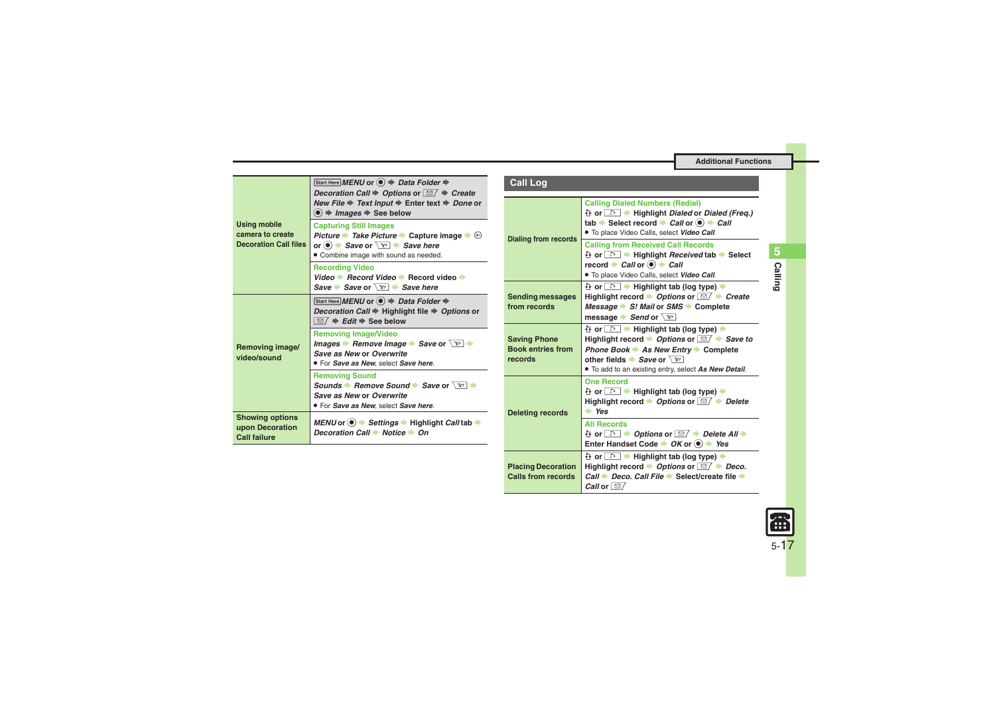| <b>Using mobile</b><br>camera to create<br><b>Decoration Call files</b> | Start Here MENU or $\textcircled{\textcircled{\scriptsize{*}}}$ Data Folder $\textup{\textcircled{\scriptsize{*}}}$<br>Decoration Call $\Rightarrow$ Options or $\Box / \Rightarrow$ Create                                      | <b>Call Log</b>                                          |
|-------------------------------------------------------------------------|----------------------------------------------------------------------------------------------------------------------------------------------------------------------------------------------------------------------------------|----------------------------------------------------------|
|                                                                         | New File $\Rightarrow$ Text Input $\Rightarrow$ Enter text $\Rightarrow$ Done or<br>$\langle \bullet \rangle$ $\Rightarrow$ <i>Images</i> $\Rightarrow$ See below                                                                |                                                          |
|                                                                         | <b>Capturing Still Images</b><br><i>Picture → Take Picture → Capture image → ®</i><br>or $\odot$ $\rightarrow$ Save or $\boxed{Y}$ $\rightarrow$ Save here<br>• Combine image with sound as needed.                              | <b>Dialing from rec</b>                                  |
|                                                                         | <b>Recording Video</b><br>Video $\rightarrow$ Record Video $\rightarrow$ Record video $\rightarrow$                                                                                                                              |                                                          |
|                                                                         | Save Save or $\boxed{Y}$ Save here                                                                                                                                                                                               |                                                          |
| Removing image/<br>video/sound                                          | Start Here MENU or $\textcircled{\textcircled{\scriptsize{*}}}$ Data Folder $\textup{\textcircled{\scriptsize{*}}}$<br><i>Decoration Call</i> → Highlight file → Options or<br>$\Box / \Rightarrow$ Edit $\Rightarrow$ See below | <b>Sending messa</b><br>from records                     |
|                                                                         | <b>Removing Image/Video</b><br>Images $\rightarrow$ Remove Image $\rightarrow$ Save or $\boxed{Y}$ $\rightarrow$<br>Save as New or Overwrite<br>. For Save as New, select Save here.                                             | <b>Saving Phone</b><br><b>Book entries fr</b><br>records |
|                                                                         | <b>Removing Sound</b><br>Sounds → Remove Sound → Save or $\boxed{Y}$ →<br>Save as New or Overwrite<br>. For Save as New, select Save here.                                                                                       |                                                          |
| <b>Showing options</b><br>upon Decoration<br><b>Call failure</b>        | MENU or $\odot \rightarrow$ Settings $\rightarrow$ Highlight Call tab $\rightarrow$<br>Decoration Call → Notice → On                                                                                                             | <b>Deleting record</b>                                   |
|                                                                         |                                                                                                                                                                                                                                  |                                                          |

<span id="page-16-3"></span><span id="page-16-2"></span><span id="page-16-1"></span><span id="page-16-0"></span>

| <b>Call Log</b>                                            |                                                                                                                                                                                                                                                  |  |
|------------------------------------------------------------|--------------------------------------------------------------------------------------------------------------------------------------------------------------------------------------------------------------------------------------------------|--|
| <b>Dialing from records</b>                                | <b>Calling Dialed Numbers (Redial)</b><br>는 or <u>a + Highlight Dialed</u> or Dialed (Freq.)<br>tab $\Rightarrow$ Select record $\Rightarrow$ Call or $\circledast$ $\Rightarrow$ Call<br>. To place Video Calls, select Video Call.             |  |
|                                                            | <b>Calling from Received Call Records</b><br>는 or <u>a → Highlight Received</u> tab → Select<br>record $\rightarrow$ Call or $\odot$ $\rightarrow$ Call<br>. To place Video Calls, select Video Call.                                            |  |
| <b>Sending messages</b><br>from records                    | 는 or <u>ො</u> → Highlight tab (log type) →<br>Highlight record $\rightarrow$ Options or $\boxed{\cong}$ $\rightarrow$ Create<br>Message $\Rightarrow$ S! Mail or SMS $\Rightarrow$ Complete<br>message $\blacktriangleright$ Send or $\boxed{Y}$ |  |
| <b>Saving Phone</b><br><b>Book entries from</b><br>records | Highlight record $\rightarrow$ Options or $\boxed{\cong}$ $\rightarrow$ Save to<br>Phone Book → As New Entry → Complete<br>other fields Save or $\sqrt{x}$<br>. To add to an existing entry, select As New Detail.                               |  |
| <b>Deleting records</b>                                    | <b>One Record</b><br>Highlight record $\rightarrow$ Options or $\boxed{\cong}$ $\rightarrow$ Delete<br>$\Rightarrow$ Yes                                                                                                                         |  |
|                                                            | <b>All Records</b><br>는 or <u>ଈ → Options</u> or <b>⊠ → Delete All →</b><br>Enter Handset Code $\rightarrow OK$ or $\bullet$ $\rightarrow Yes$                                                                                                   |  |
| <b>Placing Decoration</b><br>Calls from records            | 는 or <u>은</u> → Highlight tab (log type) →<br>Highlight record $\rightarrow$ Options or $\boxed{\cong}$ $\rightarrow$ Deco.<br>Call → Deco, Call File → Select/create file →<br><i>Call</i> or $\approx$ /                                       |  |

<span id="page-16-4"></span>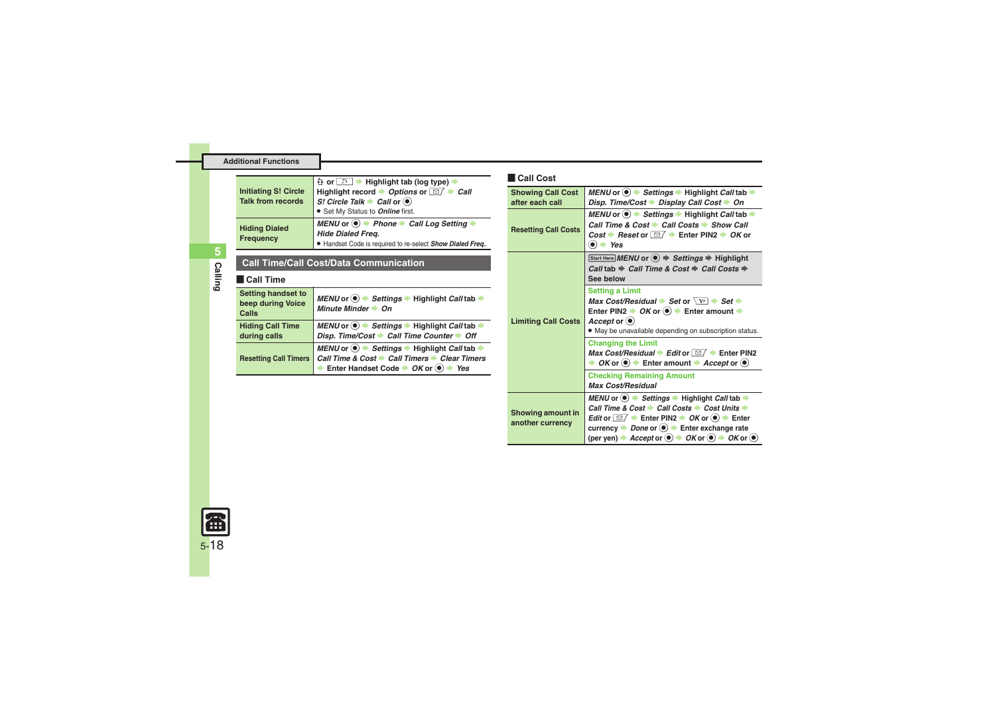<span id="page-17-3"></span><span id="page-17-2"></span><span id="page-17-1"></span>

| <b>Initiating S! Circle</b><br><b>Talk from records</b>        | 는 or <u>a → Highlight</u> tab (log type) →<br>Highlight record $\rightarrow$ Options or $\boxed{\cong}$ $\rightarrow$ Call<br>S! Circle Talk $\blacktriangleright$ Call or $\blacklozenge$<br>• Set My Status to <b>Online</b> first. |  |
|----------------------------------------------------------------|---------------------------------------------------------------------------------------------------------------------------------------------------------------------------------------------------------------------------------------|--|
| <b>Hiding Dialed</b><br>Frequency                              | MENU or $\odot$ $\rightarrow$ Phone $\rightarrow$ Call Log Setting $\rightarrow$<br><b>Hide Dialed Frea.</b><br>• Handset Code is required to re-select Show Dialed Freq                                                              |  |
| <b>Call Time/Call Cost/Data Communication</b><br>Call Time     |                                                                                                                                                                                                                                       |  |
| <b>Setting handset to</b><br>beep during Voice<br><b>Calls</b> | MENU or $\odot$ $\blacktriangleright$ Settings $\blacktriangleright$ Highlight Call tab $\blacktriangleright$<br>Minute Minder Cn                                                                                                     |  |
| <b>Hiding Call Time</b><br>during calls                        | MENU or $\odot$ $\blacktriangleright$ Settings $\blacktriangleright$ Highlight Call tab $\blacktriangleright$<br>Disp. Time/Cost > Call Time Counter > Off                                                                            |  |
| <b>Resetting Call Timers</b>                                   | MENU or $\circledast$ $\Rightarrow$ Settings $\Rightarrow$ Highlight Call tab $\Rightarrow$<br>Call Time & Cost → Call Timers → Clear Timers<br>Enter Handset Code $\rightarrow OK$ or $\bullet$ $\rightarrow Yes$                    |  |

#### [ **Call Cost**

<span id="page-17-4"></span><span id="page-17-0"></span>

| <b>Showing Call Cost</b><br>after each call  | MENU or $\odot \rightarrow$ Settings $\rightarrow$ Highlight Call tab $\rightarrow$<br>Disp. Time/Cost → Display Call Cost → On                                                                                                                                                                                                                                                                                                                                     |  |
|----------------------------------------------|---------------------------------------------------------------------------------------------------------------------------------------------------------------------------------------------------------------------------------------------------------------------------------------------------------------------------------------------------------------------------------------------------------------------------------------------------------------------|--|
| <b>Resetting Call Costs</b>                  | MENU or $\odot \rightarrow$ Settings $\rightarrow$ Highlight Call tab $\rightarrow$<br>Call Time & Cost → Call Costs → Show Call<br>Cost → Reset or $\boxed{\simeq}$ $\rightarrow$ Enter PIN2 $\rightarrow$ OK or<br>$\bullet$ $\bullet$ Yes                                                                                                                                                                                                                        |  |
| <b>Limiting Call Costs</b>                   | Start Here MENU or $\textcircled{\textcircled{\textcirc}} \Rightarrow$ Settings $\Rightarrow$ Highlight<br>Call tab $\Rightarrow$ Call Time & Cost $\Rightarrow$ Call Costs $\Rightarrow$<br>See below                                                                                                                                                                                                                                                              |  |
|                                              | <b>Setting a Limit</b><br>Max Cost/Residual $\Rightarrow$ Set or $\sqrt{x}$ $\Rightarrow$ Set $\Rightarrow$<br>Enter PIN2 $\rightarrow$ OK or $\odot$ $\rightarrow$ Enter amount $\rightarrow$<br>Accept or $\left( \bullet \right)$<br>. May be unavailable depending on subscription status.                                                                                                                                                                      |  |
|                                              | <b>Changing the Limit</b><br>Max Cost/Residual $\blacktriangleright$ Edit or $\Box / \blacktriangleright$ Enter PIN2<br>OK or $\circledcirc$ $\rightarrow$ Enter amount $\rightarrow$ Accept or $\circledcirc$                                                                                                                                                                                                                                                      |  |
|                                              | <b>Checking Remaining Amount</b><br><b>Max Cost/Residual</b>                                                                                                                                                                                                                                                                                                                                                                                                        |  |
| <b>Showing amount in</b><br>another currency | MENU or $\bullet$ $\bullet$ Settings $\bullet$ Highlight Call tab $\bullet$<br>Call Time & Cost → Call Costs → Cost Units →<br>Edit or $\Box$ $\Rightarrow$ Enter PIN2 $\Rightarrow$ OK or $\circledast$ $\Rightarrow$ Enter<br>currency $\rightarrow$ Done or $\odot$ $\rightarrow$ Enter exchange rate<br>(per yen) $\Rightarrow$ Accept or $\textcircled{\textcirc}$ $\Rightarrow$ OK or $\textcircled{\textcirc}$ $\Rightarrow$ OK or $\textcircled{\textcirc}$ |  |



**Additional Functions**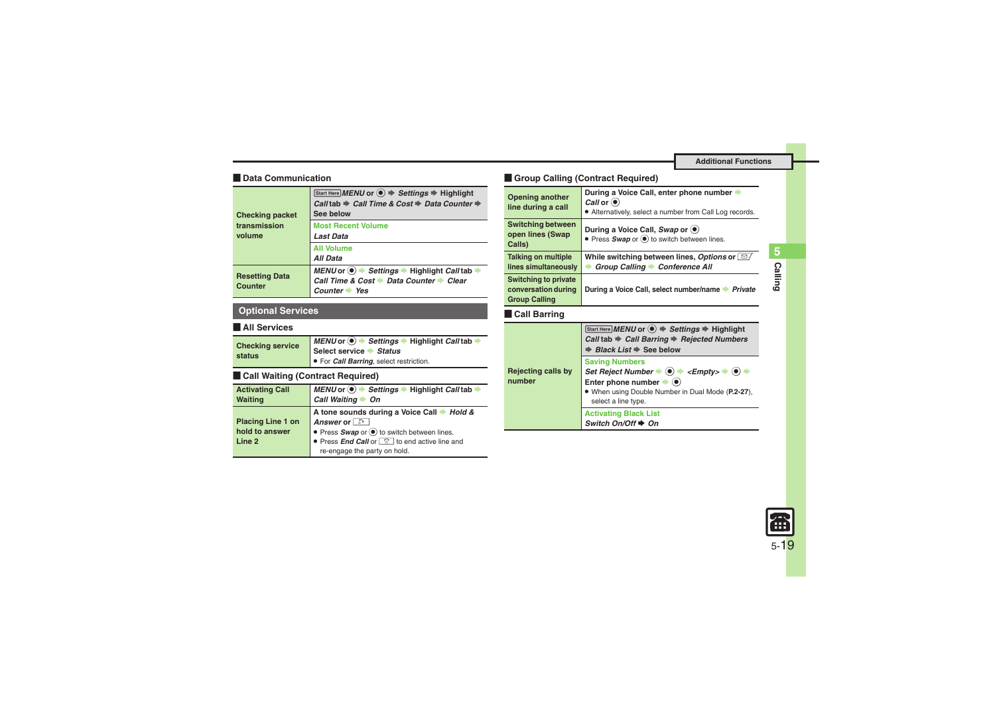## [ **Data Communication**

<span id="page-18-0"></span>

| <b>Checking packet</b><br>transmission<br>volume | Start Here MENU or (●) → Settings → Highlight<br>Call tab ⇒ Call Time & Cost ⇒ Data Counter ⇒<br>See below |
|--------------------------------------------------|------------------------------------------------------------------------------------------------------------|
|                                                  | <b>Most Recent Volume</b><br><b>Last Data</b>                                                              |
|                                                  | <b>All Volume</b><br><b>All Data</b>                                                                       |
| <b>Resetting Data</b><br>Counter                 | MENU or ● Settings → Highlight Call tab<br>Call Time & Cost → Data Counter → Clear<br>Counter Yes          |

## **Optional Services**

## [ **All Services**

<span id="page-18-1"></span>

| <b>Checking service</b><br>status | MENU or ● Settings → Highlight Call tab         |
|-----------------------------------|-------------------------------------------------|
|                                   | Select service Status                           |
|                                   | • For <i>Call Barring</i> , select restriction. |

## **Exall Waiting (Contract Required)**

<span id="page-18-2"></span>

| <b>Activating Call</b>   | MENU or ● Settings → Highlight Call tab             |
|--------------------------|-----------------------------------------------------|
| <b>Waiting</b>           | Call Waiting<br>→ On                                |
|                          | A tone sounds during a Voice Call → Hold &          |
| <b>Placing Line 1 on</b> | Answer or                                           |
| hold to answer           | ● Press Swap or ● to switch between lines.          |
| Line 2                   | • Press End Call or <b>c</b> to end active line and |
|                          | re-engage the party on hold.                        |

## **Example Calling (Contract Required)**

<span id="page-18-3"></span>

| <b>Opening another</b><br>line during a call                               | During a Voice Call, enter phone number<br>Call or $\odot$<br>• Alternatively, select a number from Call Log records. |
|----------------------------------------------------------------------------|-----------------------------------------------------------------------------------------------------------------------|
| <b>Switching between</b><br>open lines (Swap<br>Calls)                     | During a Voice Call, Swap or $\left( \bullet \right)$<br>• Press Swap or $\odot$ to switch between lines.             |
| <b>Talking on multiple</b>                                                 | While switching between lines, Options or [ $\textcircled{2}$ ]                                                       |
| lines simultaneously                                                       | Group Calling Conference All                                                                                          |
| <b>Switching to private</b><br>conversation during<br><b>Group Calling</b> | During a Voice Call, select number/name > Private                                                                     |
| <b>Call Barring</b>                                                        |                                                                                                                       |
|                                                                            | Start Here <i>MENU</i> or $\left( \bullet \right)$ $\Rightarrow$ <i>Settings</i> $\Rightarrow$ Highlight              |

<span id="page-18-4"></span>

|                              | $[Start Here] MENU$ or $\textcircled{\textcircled{\textcirc}} \Rightarrow$ Settings $\Rightarrow$ Highlight<br>Call tab → Call Barring → Rejected Numbers<br>$\Rightarrow$ Black List $\Rightarrow$ See below                                                                                                                                    |
|------------------------------|--------------------------------------------------------------------------------------------------------------------------------------------------------------------------------------------------------------------------------------------------------------------------------------------------------------------------------------------------|
| Rejecting calls by<br>number | <b>Saving Numbers</b><br>Set Reject Number $\Rightarrow$ ( $\bullet$ ) $\Rightarrow$ <empty> <math>\Rightarrow</math> (<math>\bullet</math>) <math>\Rightarrow</math><br/>Enter phone number <math>\blacktriangleright</math> (<math>\blacklozenge</math>)<br/>. When using Double Number in Dual Mode (P.2-27),<br/>select a line type.</empty> |
|                              | <b>Activating Black List</b><br>Switch On/Off $\triangle$ On                                                                                                                                                                                                                                                                                     |



**Calling**

**5**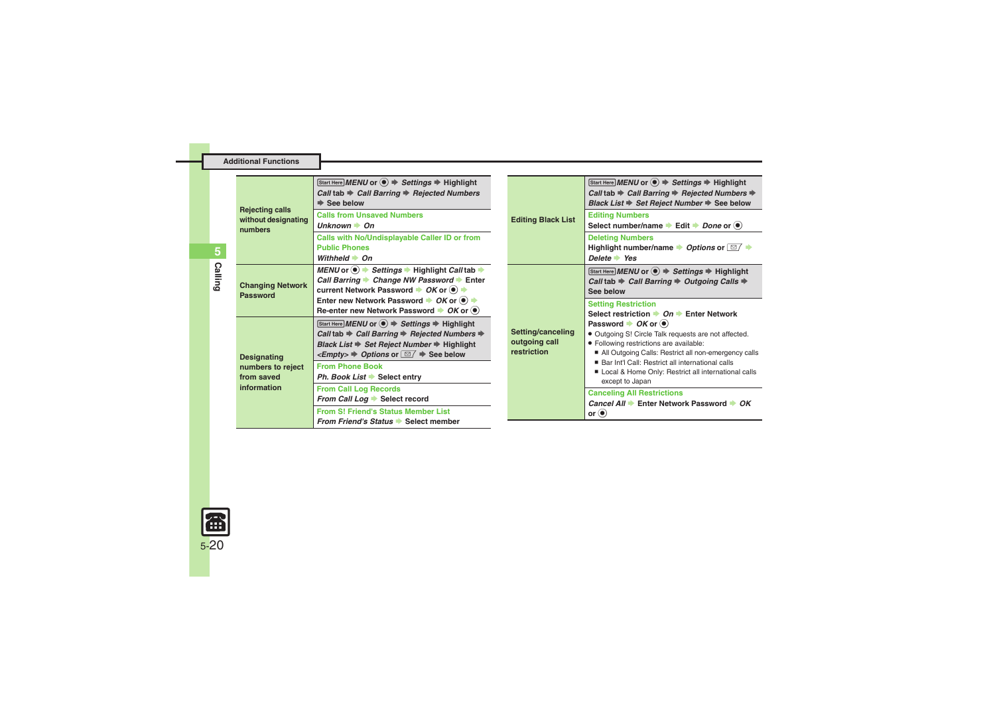<span id="page-19-0"></span>

| <b>Rejecting calls</b><br>without designating<br>numbers             | Start Here MENU or $\textcircled{\textcircled{\textcirc}} \Rightarrow$ Settings $\Rightarrow$ Highlight<br>Call tab $\Rightarrow$ Call Barring $\Rightarrow$ Rejected Numbers<br>$\Rightarrow$ See below                                                                                 | <b>Editing Black List</b>                         | Start Here MENU or ● → Settings → Highlight<br>Call tab $\Rightarrow$ Call Barring $\Rightarrow$ Rejected Numbers $\Rightarrow$<br>Black List $\Rightarrow$ Set Reject Number $\Rightarrow$ See below  |  |
|----------------------------------------------------------------------|------------------------------------------------------------------------------------------------------------------------------------------------------------------------------------------------------------------------------------------------------------------------------------------|---------------------------------------------------|--------------------------------------------------------------------------------------------------------------------------------------------------------------------------------------------------------|--|
|                                                                      | <b>Calls from Unsaved Numbers</b><br>$\mathsf{Unknown} \rightarrow \mathsf{On}$                                                                                                                                                                                                          |                                                   | <b>Editing Numbers</b><br>Select number/name Edit Done or $\odot$                                                                                                                                      |  |
|                                                                      | Calls with No/Undisplayable Caller ID or from<br><b>Public Phones</b><br>Withheld $\rightarrow$ On                                                                                                                                                                                       |                                                   | <b>Deleting Numbers</b><br>Highlight number/name $\rightarrow$ Options or $\boxed{\simeq}$ $\rightarrow$<br>$Delete * Yes$                                                                             |  |
| <b>Changing Network</b><br>Password                                  | MENU or $\odot$ $\blacktriangleright$ Settings $\blacktriangleright$ Highlight Call tab $\blacktriangleright$<br>Call Barring → Change NW Password → Enter<br>current Network Password $\rightarrow$ OK or $\left(\bullet\right)$ $\rightarrow$                                          |                                                   | Start Here MENU or $\textcircled{\textcircled{\textcirc}} \Rightarrow$ Settings $\Rightarrow$ Highlight<br>Call tab $\Rightarrow$ Call Barring $\Rightarrow$ Outgoing Calls $\Rightarrow$<br>See below |  |
|                                                                      | Enter new Network Password $\rightarrow$ OK or $\odot$ $\rightarrow$<br>Re-enter new Network Password $\rightarrow$ OK or $\circledast$                                                                                                                                                  |                                                   | <b>Setting Restriction</b><br>Select restriction $\rightarrow$ On $\rightarrow$ Enter Network                                                                                                          |  |
| <b>Designating</b><br>numbers to reject<br>from saved<br>information | Start Here MENU or ● → Settings → Highlight<br>Call tab $\Rightarrow$ Call Barring $\Rightarrow$ Rejected Numbers $\Rightarrow$<br>Black List $\Rightarrow$ Set Reject Number $\Rightarrow$ Highlight<br>$\leq$ Empty> $\Rightarrow$ Options or $\boxed{\simeq}$ $\Rightarrow$ See below | Setting/canceling<br>outgoing call<br>restriction | Password $\rightarrow$ OK or $\bullet$ )<br>• Outgoing S! Circle Talk requests are not affected.<br>· Following restrictions are available:<br>All Outgoing Calls: Restrict all non-emergency calls    |  |
|                                                                      | <b>From Phone Book</b><br>Ph. Book List Select entry                                                                                                                                                                                                                                     |                                                   | ■ Bar Int'l Call: Restrict all international calls<br>Local & Home Only: Restrict all international calls<br>except to Japan                                                                           |  |
|                                                                      | <b>From Call Log Records</b><br>From Call Log Select record                                                                                                                                                                                                                              |                                                   | <b>Canceling All Restrictions</b><br>Cancel All → Enter Network Password → OK                                                                                                                          |  |
|                                                                      | <b>From S! Friend's Status Member List</b><br>From Friend's Status Select member                                                                                                                                                                                                         |                                                   | or $\odot$                                                                                                                                                                                             |  |

**Additional Functions**

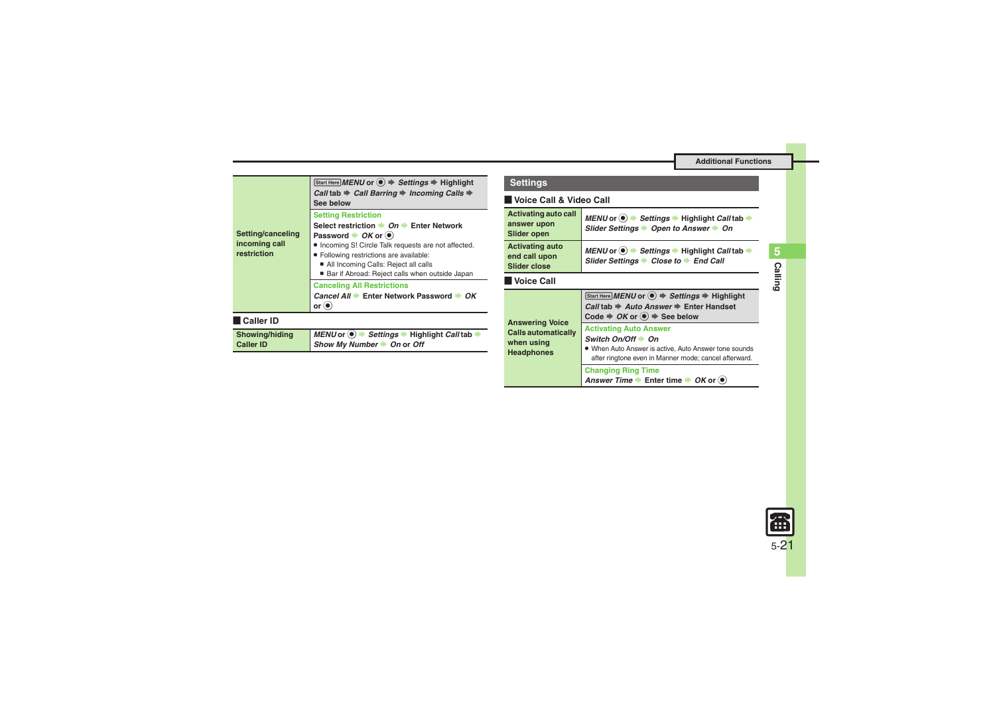<span id="page-20-1"></span>

| Start Here MENU or ● → Settings → Highlight<br>Call tab $\Rightarrow$ Call Barring $\Rightarrow$ Incoming Calls $\Rightarrow$<br>See below                                                                                                                                                                                                        |  |  |
|---------------------------------------------------------------------------------------------------------------------------------------------------------------------------------------------------------------------------------------------------------------------------------------------------------------------------------------------------|--|--|
| <b>Setting Restriction</b><br>Select restriction $\rightarrow$ On $\rightarrow$ Enter Network<br>Password $\rightarrow$ OK or $\left(\bullet\right)$<br>. Incoming S! Circle Talk requests are not affected.<br>• Following restrictions are available:<br>All Incoming Calls: Reject all calls<br>Bar if Abroad: Reject calls when outside Japan |  |  |
| <b>Canceling All Restrictions</b><br>Cancel All → Enter Network Password → OK<br>or $\left( \bullet \right)$                                                                                                                                                                                                                                      |  |  |
| Caller ID                                                                                                                                                                                                                                                                                                                                         |  |  |
| MENU or $\odot$ $\blacktriangleright$ Settings $\blacktriangleright$ Highlight Call tab $\blacktriangleright$<br>Show My Number $\rightarrow$ On or Off                                                                                                                                                                                           |  |  |
|                                                                                                                                                                                                                                                                                                                                                   |  |  |

| <b>Settings</b> |  |  |
|-----------------|--|--|
|                 |  |  |

#### [ **Voice Call & Video Call**

<span id="page-20-0"></span>

| Activating auto call<br>answer upon<br>Slider open             | MENU or $\odot$ $\blacktriangleright$ Settings $\blacktriangleright$ Highlight Call tab $\blacktriangleright$<br>Slider Settings > Open to Answer > On                          |  |  |
|----------------------------------------------------------------|---------------------------------------------------------------------------------------------------------------------------------------------------------------------------------|--|--|
| <b>Activating auto</b><br>end call upon<br><b>Slider close</b> | MENU or $\odot$ $\blacktriangleright$ Settings $\blacktriangleright$ Highlight Call tab $\blacktriangleright$<br>Slider Settings → Close to → End Call                          |  |  |
| l Voice Call                                                   |                                                                                                                                                                                 |  |  |
| <b>Answering Voice</b>                                         | Start Here MENU or ● → Settings → Highlight<br>Call tab $\Rightarrow$ Auto Answer $\Rightarrow$ Enter Handset<br>Code $\Rightarrow$ OK or $\circledast$ $\Rightarrow$ See below |  |  |
| <b>Calls automatically</b><br>when using<br><b>Headphones</b>  | <b>Activating Auto Answer</b><br>Switch On/Off + On<br>. When Auto Answer is active, Auto Answer tone sounds<br>after ringtone even in Manner mode; cancel afterward.           |  |  |
|                                                                |                                                                                                                                                                                 |  |  |

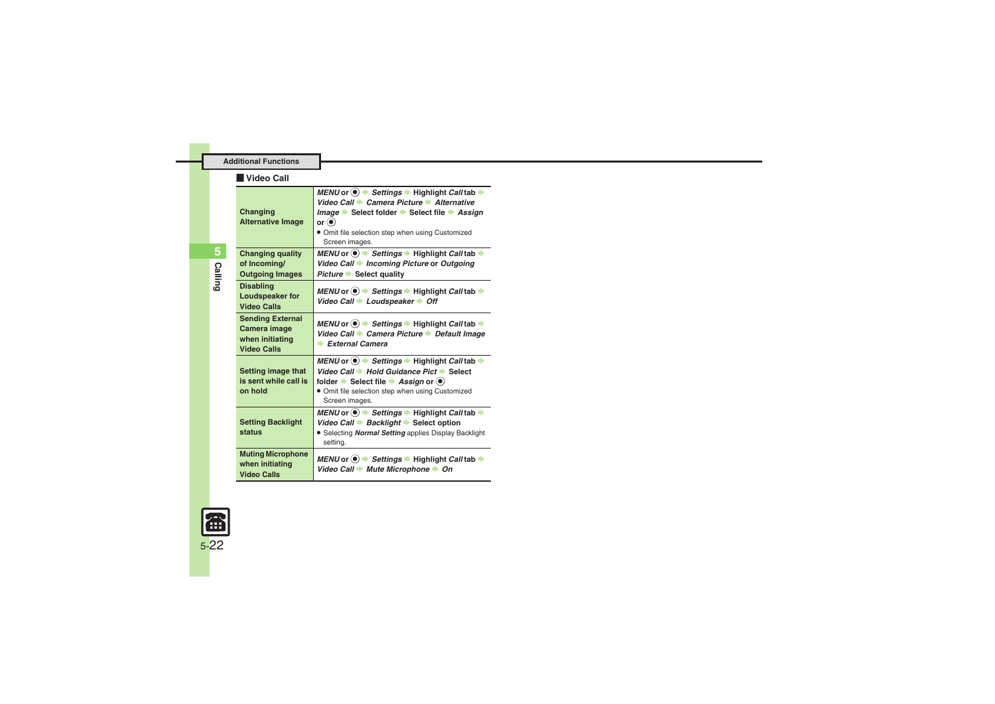<span id="page-21-1"></span><span id="page-21-0"></span>

| Video Call                                                                       |                                                                                                                                                                                                                                                                                                                      |  |
|----------------------------------------------------------------------------------|----------------------------------------------------------------------------------------------------------------------------------------------------------------------------------------------------------------------------------------------------------------------------------------------------------------------|--|
| Changing<br><b>Alternative Image</b>                                             | MENU or $\circledast$ $\rightarrow$ Settings $\rightarrow$ Highlight Call tab $\rightarrow$<br>Video Call → Camera Picture → Alternative<br><i>Image</i> → Select folder → Select file → Assign<br>or $\odot$<br>. Omit file selection step when using Customized<br>Screen images.                                  |  |
| <b>Changing quality</b><br>of Incoming/<br><b>Outgoing Images</b>                | MENU or $\circledast$ $\Rightarrow$ Settings $\Rightarrow$ Highlight Call tab $\Rightarrow$<br>Video Call → Incoming Picture or Outgoing<br>Picture Select quality                                                                                                                                                   |  |
| <b>Disabling</b><br>Loudspeaker for<br><b>Video Calls</b>                        | MENU or $\circledcirc$ $\rightarrow$ Settings $\rightarrow$ Highlight Call tab $\rightarrow$<br>Video Call → Loudspeaker → Off                                                                                                                                                                                       |  |
| <b>Sending External</b><br>Camera image<br>when initiating<br><b>Video Calls</b> | MENU or $\circledast$ $\rightarrow$ Settings $\rightarrow$ Highlight Call tab $\rightarrow$<br>Video Call Camera Picture Default Image<br>$\blacktriangleright$ External Camera                                                                                                                                      |  |
| Setting image that<br>is sent while call is<br>on hold                           | MENU or $\left( \bullet \right)$ $\Rightarrow$ Settings $\Rightarrow$ Highlight Call tab $\Rightarrow$<br>Video Call + Hold Guidance Pict + Select<br>folder $\blacktriangleright$ Select file $\blacktriangleright$ Assign or $\blacklozenge$<br>. Omit file selection step when using Customized<br>Screen images. |  |
| <b>Setting Backlight</b><br>status                                               | MENU or $\circledast$ $\Rightarrow$ Settings $\Rightarrow$ Highlight Call tab $\Rightarrow$<br>Video Call → Backlight → Select option<br>• Selecting Normal Setting applies Display Backlight<br>setting.                                                                                                            |  |
| <b>Muting Microphone</b><br>when initiating<br><b>Video Calls</b>                | MENU or $\circledast$ $\rightarrow$ Settings $\rightarrow$ Highlight Call tab $\rightarrow$<br>Video Call + Mute Microphone + On                                                                                                                                                                                     |  |

<span id="page-21-2"></span>

**Additional Functions**